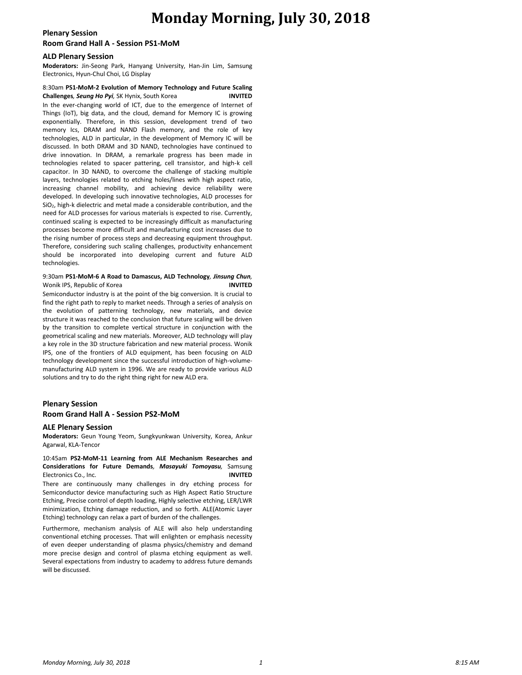# **Monday Morning, July 30, 2018**

## **Plenary Session**

## **Room Grand Hall A - Session PS1-MoM**

#### **ALD Plenary Session**

**Moderators:** Jin-Seong Park, Hanyang University, Han-Jin Lim, Samsung Electronics, Hyun-Chul Choi, LG Display

## 8:30am **PS1-MoM-2 Evolution of Memory Technology and Future Scaling Challenges***, Seung Ho Pyi,* SK Hynix, South Korea **INVITED**

In the ever-changing world of ICT, due to the emergence of Internet of Things (IoT), big data, and the cloud, demand for Memory IC is growing exponentially. Therefore, in this session, development trend of two memory Ics, DRAM and NAND Flash memory, and the role of key technologies, ALD in particular, in the development of Memory IC will be discussed. In both DRAM and 3D NAND, technologies have continued to drive innovation. In DRAM, a remarkale progress has been made in technologies related to spacer pattering, cell transistor, and high-k cell capacitor. In 3D NAND, to overcome the challenge of stacking multiple layers, technologies related to etching holes/lines with high aspect ratio, increasing channel mobility, and achieving device reliability were developed. In developing such innovative technologies, ALD processes for SiO2, high-k dielectric and metal made a considerable contribution, and the need for ALD processes for various materials is expected to rise. Currently, continued scaling is expected to be increasingly difficult as manufacturing processes become more difficult and manufacturing cost increases due to the rising number of process steps and decreasing equipment throughput. Therefore, considering such scaling challenges, productivity enhancement should be incorporated into developing current and future ALD technologies.

## 9:30am **PS1-MoM-6 A Road to Damascus, ALD Technology***, Jinsung Chun,*  Wonik IPS, Republic of Korea **INVITED**

Semiconductor industry is at the point of the big conversion. It is crucial to find the right path to reply to market needs. Through a series of analysis on the evolution of patterning technology, new materials, and device structure it was reached to the conclusion that future scaling will be driven by the transition to complete vertical structure in conjunction with the geometrical scaling and new materials. Moreover, ALD technology will play a key role in the 3D structure fabrication and new material process. Wonik IPS, one of the frontiers of ALD equipment, has been focusing on ALD technology development since the successful introduction of high-volumemanufacturing ALD system in 1996. We are ready to provide various ALD solutions and try to do the right thing right for new ALD era.

## **Plenary Session**

## **Room Grand Hall A - Session PS2-MoM**

#### **ALE Plenary Session**

**Moderators:** Geun Young Yeom, Sungkyunkwan University, Korea, Ankur Agarwal, KLA-Tencor

### 10:45am **PS2-MoM-11 Learning from ALE Mechanism Researches and Considerations for Future Demands***, Masayuki Tomoyasu,* Samsung Electronics Co., Inc. **INVITED**

There are continuously many challenges in dry etching process for Semiconductor device manufacturing such as High Aspect Ratio Structure Etching, Precise control of depth loading, Highly selective etching, LER/LWR minimization, Etching damage reduction, and so forth. ALE(Atomic Layer Etching) technology can relax a part of burden of the challenges.

Furthermore, mechanism analysis of ALE will also help understanding conventional etching processes. That will enlighten or emphasis necessity of even deeper understanding of plasma physics/chemistry and demand more precise design and control of plasma etching equipment as well. Several expectations from industry to academy to address future demands will be discussed.